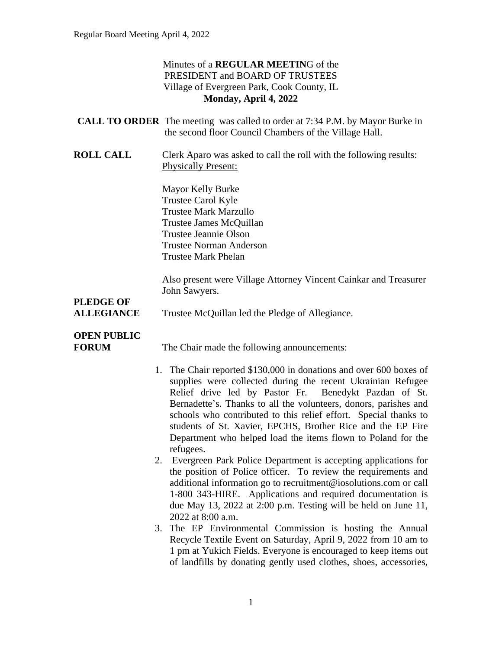## Minutes of a **REGULAR MEETIN**G of the PRESIDENT and BOARD OF TRUSTEES Village of Evergreen Park, Cook County, IL **Monday, April 4, 2022**

| <b>CALL TO ORDER</b> The meeting was called to order at 7:34 P.M. by Mayor Burke in |                                                        |  |  |  |
|-------------------------------------------------------------------------------------|--------------------------------------------------------|--|--|--|
|                                                                                     | the second floor Council Chambers of the Village Hall. |  |  |  |

**ROLL CALL** Clerk Aparo was asked to call the roll with the following results: Physically Present:

> Mayor Kelly Burke Trustee Carol Kyle Trustee Mark Marzullo Trustee James McQuillan Trustee Jeannie Olson Trustee Norman Anderson Trustee Mark Phelan

Also present were Village Attorney Vincent Cainkar and Treasurer John Sawyers.

# **PLEDGE OF**

**ALLEGIANCE** Trustee McQuillan led the Pledge of Allegiance.

# **OPEN PUBLIC**

**FORUM** The Chair made the following announcements:

- 1. The Chair reported \$130,000 in donations and over 600 boxes of supplies were collected during the recent Ukrainian Refugee Relief drive led by Pastor Fr. Benedykt Pazdan of St. Bernadette's. Thanks to all the volunteers, donors, parishes and schools who contributed to this relief effort. Special thanks to students of St. Xavier, EPCHS, Brother Rice and the EP Fire Department who helped load the items flown to Poland for the refugees.
- 2. Evergreen Park Police Department is accepting applications for the position of Police officer. To review the requirements and additional information go to recruitment@iosolutions.com or call 1-800 343-HIRE. Applications and required documentation is due May 13, 2022 at 2:00 p.m. Testing will be held on June 11, 2022 at 8:00 a.m.
- 3. The EP Environmental Commission is hosting the Annual Recycle Textile Event on Saturday, April 9, 2022 from 10 am to 1 pm at Yukich Fields. Everyone is encouraged to keep items out of landfills by donating gently used clothes, shoes, accessories,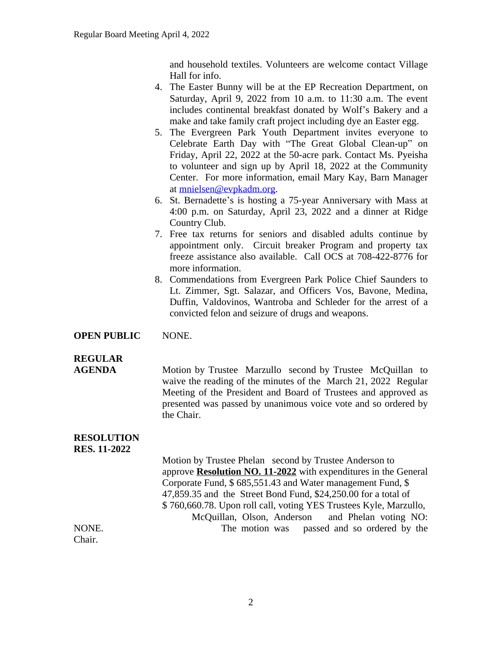and household textiles. Volunteers are welcome contact Village Hall for info.

- 4. The Easter Bunny will be at the EP Recreation Department, on Saturday, April 9, 2022 from 10 a.m. to 11:30 a.m. The event includes continental breakfast donated by Wolf's Bakery and a make and take family craft project including dye an Easter egg.
- 5. The Evergreen Park Youth Department invites everyone to Celebrate Earth Day with "The Great Global Clean-up" on Friday, April 22, 2022 at the 50-acre park. Contact Ms. Pyeisha to volunteer and sign up by April 18, 2022 at the Community Center. For more information, email Mary Kay, Barn Manager at [mnielsen@evpkadm.org](mailto:mnielsen@evpkadm.org).
- 6. St. Bernadette's is hosting a 75-year Anniversary with Mass at 4:00 p.m. on Saturday, April 23, 2022 and a dinner at Ridge Country Club.
- 7. Free tax returns for seniors and disabled adults continue by appointment only. Circuit breaker Program and property tax freeze assistance also available. Call OCS at 708-422-8776 for more information.
- 8. Commendations from Evergreen Park Police Chief Saunders to Lt. Zimmer, Sgt. Salazar, and Officers Vos, Bavone, Medina, Duffin, Valdovinos, Wantroba and Schleder for the arrest of a convicted felon and seizure of drugs and weapons.

#### **OPEN PUBLIC** NONE.

# **REGULAR**

**AGENDA Motion by Trustee Marzullo** second by Trustee McQuillan to waive the reading of the minutes of the March 21, 2022 Regular Meeting of the President and Board of Trustees and approved as presented was passed by unanimous voice vote and so ordered by the Chair.

#### **RESOLUTION RES. 11-2022**

Motion by Trustee Phelan second by Trustee Anderson to approve **Resolution NO. 11-2022** with expenditures in the General Corporate Fund, \$ 685,551.43 and Water management Fund, \$ 47,859.35 and the Street Bond Fund, \$24,250.00 for a total of \$ 760,660.78. Upon roll call, voting YES Trustees Kyle, Marzullo, McQuillan, Olson, Anderson and Phelan voting NO: NONE. The motion was passed and so ordered by the Chair.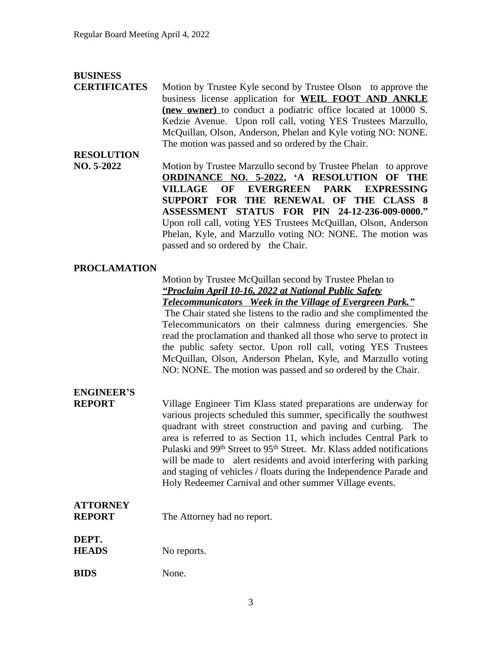## **BUSINESS**

**CERTIFICATES** Motion by Trustee Kyle second by Trustee Olson to approve the business license application for **WEIL FOOT AND ANKLE (new owner)** to conduct a podiatric office located at 10000 S. Kedzie Avenue. Upon roll call, voting YES Trustees Marzullo, McQuillan, Olson, Anderson, Phelan and Kyle voting NO: NONE. The motion was passed and so ordered by the Chair.

# **RESOLUTION**

**NO. 5-2022** Motion by Trustee Marzullo second by Trustee Phelan to approve **ORDINANCE NO. 5-2022, 'A RESOLUTION OF THE VILLAGE OF EVERGREEN PARK EXPRESSING SUPPORT FOR THE RENEWAL OF THE CLASS 8 ASSESSMENT STATUS FOR PIN 24-12-236-009-0000."** Upon roll call, voting YES Trustees McQuillan, Olson, Anderson Phelan, Kyle, and Marzullo voting NO: NONE. The motion was passed and so ordered by the Chair.

### **PROCLAMATION**

#### Motion by Trustee McQuillan second by Trustee Phelan to *"Proclaim April 10-16, 2022 at National Public Safety Telecommunicators Week in the Village of Evergreen Park."*

The Chair stated she listens to the radio and she complimented the Telecommunicators on their calmness during emergencies. She read the proclamation and thanked all those who serve to protect in the public safety sector. Upon roll call, voting YES Trustees McQuillan, Olson, Anderson Phelan, Kyle, and Marzullo voting NO: NONE. The motion was passed and so ordered by the Chair.

# **ENGINEER'S**

**REPORT** Village Engineer Tim Klass stated preparations are underway for various projects scheduled this summer, specifically the southwest quadrant with street construction and paving and curbing. The area is referred to as Section 11, which includes Central Park to Pulaski and 99<sup>th</sup> Street to 95<sup>th</sup> Street. Mr. Klass added notifications will be made to alert residents and avoid interfering with parking and staging of vehicles / floats during the Independence Parade and Holy Redeemer Carnival and other summer Village events.

# **ATTORNEY**

**DEPT.**

**REPORT** The Attorney had no report.

| <b>HEADS</b> | No reports. |
|--------------|-------------|
|              |             |

| <b>BIDS</b><br>None. |
|----------------------|
|                      |